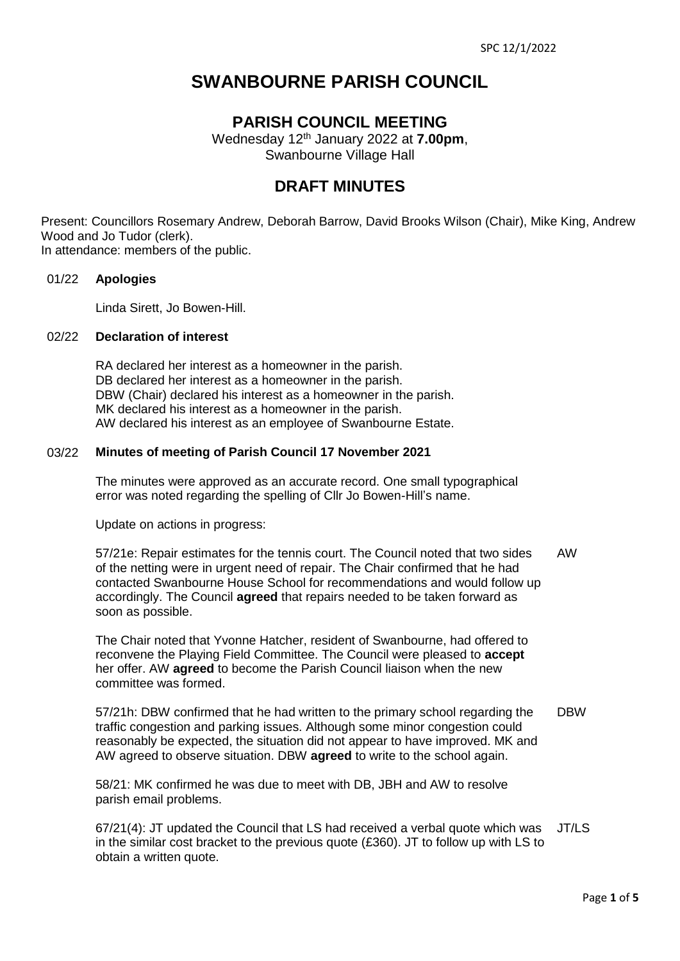# **SWANBOURNE PARISH COUNCIL**

## **PARISH COUNCIL MEETING**

Wednesday 12 th January 2022 at **7.00pm**, Swanbourne Village Hall

## **DRAFT MINUTES**

Present: Councillors Rosemary Andrew, Deborah Barrow, David Brooks Wilson (Chair), Mike King, Andrew Wood and Jo Tudor (clerk).

In attendance: members of the public.

## 01/22 **Apologies**

Linda Sirett, Jo Bowen-Hill.

## 02/22 **Declaration of interest**

RA declared her interest as a homeowner in the parish. DB declared her interest as a homeowner in the parish. DBW (Chair) declared his interest as a homeowner in the parish. MK declared his interest as a homeowner in the parish. AW declared his interest as an employee of Swanbourne Estate.

## 03/22 **Minutes of meeting of Parish Council 17 November 2021**

The minutes were approved as an accurate record. One small typographical error was noted regarding the spelling of Cllr Jo Bowen-Hill's name.

Update on actions in progress:

57/21e: Repair estimates for the tennis court. The Council noted that two sides of the netting were in urgent need of repair. The Chair confirmed that he had contacted Swanbourne House School for recommendations and would follow up accordingly. The Council **agreed** that repairs needed to be taken forward as soon as possible. AW

The Chair noted that Yvonne Hatcher, resident of Swanbourne, had offered to reconvene the Playing Field Committee. The Council were pleased to **accept** her offer. AW **agreed** to become the Parish Council liaison when the new committee was formed.

57/21h: DBW confirmed that he had written to the primary school regarding the traffic congestion and parking issues. Although some minor congestion could reasonably be expected, the situation did not appear to have improved. MK and AW agreed to observe situation. DBW **agreed** to write to the school again. DBW

58/21: MK confirmed he was due to meet with DB, JBH and AW to resolve parish email problems.

67/21(4): JT updated the Council that LS had received a verbal quote which was JT/LSin the similar cost bracket to the previous quote (£360). JT to follow up with LS to obtain a written quote.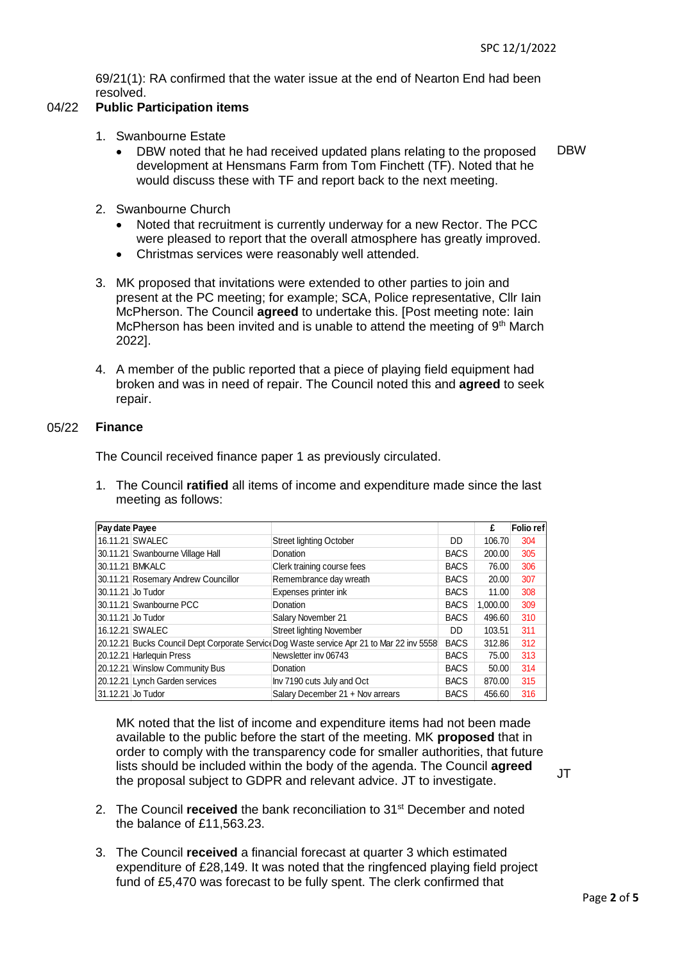69/21(1): RA confirmed that the water issue at the end of Nearton End had been resolved.

## 04/22 **Public Participation items**

- 1. Swanbourne Estate
	- DBW noted that he had received updated plans relating to the proposed development at Hensmans Farm from Tom Finchett (TF). Noted that he would discuss these with TF and report back to the next meeting. DBW
- 2. Swanbourne Church
	- Noted that recruitment is currently underway for a new Rector. The PCC were pleased to report that the overall atmosphere has greatly improved.
	- Christmas services were reasonably well attended.
- 3. MK proposed that invitations were extended to other parties to join and present at the PC meeting; for example; SCA, Police representative, Cllr Iain McPherson. The Council **agreed** to undertake this. [Post meeting note: Iain McPherson has been invited and is unable to attend the meeting of  $9<sup>th</sup>$  March 2022].
- 4. A member of the public reported that a piece of playing field equipment had broken and was in need of repair. The Council noted this and **agreed** to seek repair.

## 05/22 **Finance**

The Council received finance paper 1 as previously circulated.

1. The Council **ratified** all items of income and expenditure made since the last meeting as follows:

| Pay date Payee    |                                     |                                                                                           |             | £        | <b>Folio</b> ref |
|-------------------|-------------------------------------|-------------------------------------------------------------------------------------------|-------------|----------|------------------|
|                   | 16.11.21 SWALEC                     | <b>Street lighting October</b>                                                            | DD          | 106.70   | 304              |
|                   | 30.11.21 Swanbourne Village Hall    | Donation                                                                                  | <b>BACS</b> | 200.00   | 305              |
|                   | 30.11.21 BMKALC                     | Clerk training course fees                                                                | <b>BACS</b> | 76.00    | 306              |
|                   | 30.11.21 Rosemary Andrew Councillor | Remembrance day wreath                                                                    | <b>BACS</b> | 20.00    | 307              |
|                   | 30.11.21 Jo Tudor                   | Expenses printer ink                                                                      | <b>BACS</b> | 11.00    | 308              |
|                   | 130.11.21 Swanbourne PCC            | Donation                                                                                  | <b>BACS</b> | 1.000.00 | 309              |
| 30.11.21 Jo Tudor |                                     | Salary November 21                                                                        | <b>BACS</b> | 496.60   | 310              |
|                   | 16.12.21 SWALEC                     | <b>Street lighting November</b>                                                           | DD          | 103.51   | 311              |
|                   |                                     | 20.12.21 Bucks Council Dept Corporate Service Dog Waste service Apr 21 to Mar 22 inv 5558 | <b>BACS</b> | 312.86   | 312              |
|                   | 20.12.21 Harleguin Press            | Newsletter inv 06743                                                                      | <b>BACS</b> | 75.00    | 313              |
|                   | 20.12.21 Winslow Community Bus      | Donation                                                                                  | <b>BACS</b> | 50.00    | 314              |
|                   | 20.12.21 Lynch Garden services      | Inv 7190 cuts July and Oct                                                                | <b>BACS</b> | 870.00   | 315              |
| 31.12.21 Jo Tudor |                                     | Salary December 21 + Nov arrears                                                          | <b>BACS</b> | 456.60   | 316              |

MK noted that the list of income and expenditure items had not been made available to the public before the start of the meeting. MK **proposed** that in order to comply with the transparency code for smaller authorities, that future lists should be included within the body of the agenda. The Council **agreed** the proposal subject to GDPR and relevant advice. JT to investigate.

JT

- 2. The Council **received** the bank reconciliation to 31<sup>st</sup> December and noted the balance of £11,563.23.
- 3. The Council **received** a financial forecast at quarter 3 which estimated expenditure of £28,149. It was noted that the ringfenced playing field project fund of £5,470 was forecast to be fully spent. The clerk confirmed that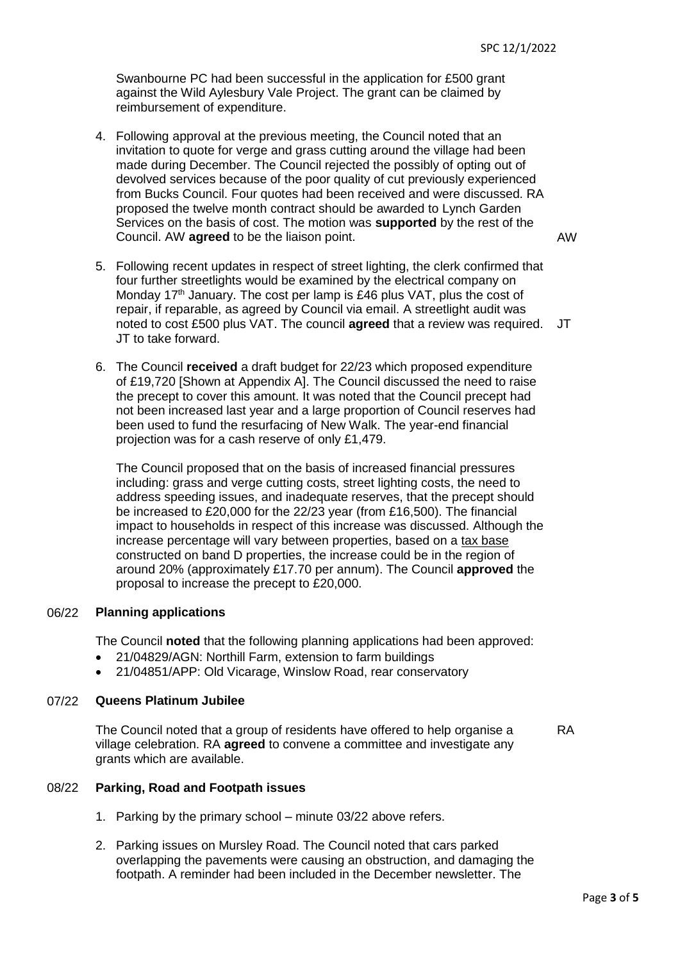Swanbourne PC had been successful in the application for £500 grant against the Wild Aylesbury Vale Project. The grant can be claimed by reimbursement of expenditure.

4. Following approval at the previous meeting, the Council noted that an invitation to quote for verge and grass cutting around the village had been made during December. The Council rejected the possibly of opting out of devolved services because of the poor quality of cut previously experienced from Bucks Council. Four quotes had been received and were discussed. RA proposed the twelve month contract should be awarded to Lynch Garden Services on the basis of cost. The motion was **supported** by the rest of the Council. AW **agreed** to be the liaison point.

AW

- 5. Following recent updates in respect of street lighting, the clerk confirmed that four further streetlights would be examined by the electrical company on Monday 17<sup>th</sup> January. The cost per lamp is £46 plus VAT, plus the cost of repair, if reparable, as agreed by Council via email. A streetlight audit was noted to cost £500 plus VAT. The council **agreed** that a review was required. JT JT to take forward.
- 6. The Council **received** a draft budget for 22/23 which proposed expenditure of £19,720 [Shown at Appendix A]. The Council discussed the need to raise the precept to cover this amount. It was noted that the Council precept had not been increased last year and a large proportion of Council reserves had been used to fund the resurfacing of New Walk. The year-end financial projection was for a cash reserve of only £1,479.

The Council proposed that on the basis of increased financial pressures including: grass and verge cutting costs, street lighting costs, the need to address speeding issues, and inadequate reserves, that the precept should be increased to £20,000 for the 22/23 year (from £16,500). The financial impact to households in respect of this increase was discussed. Although the increase percentage will vary between properties, based on a tax base constructed on band D properties, the increase could be in the region of around 20% (approximately £17.70 per annum). The Council **approved** the proposal to increase the precept to £20,000.

### 06/22 **Planning applications**

The Council **noted** that the following planning applications had been approved:

- 21/04829/AGN: Northill Farm, extension to farm buildings
- 21/04851/APP: Old Vicarage, Winslow Road, rear conservatory

### 07/22 **Queens Platinum Jubilee**

The Council noted that a group of residents have offered to help organise a village celebration. RA **agreed** to convene a committee and investigate any grants which are available. RA

### 08/22 **Parking, Road and Footpath issues**

- 1. Parking by the primary school minute 03/22 above refers.
- 2. Parking issues on Mursley Road. The Council noted that cars parked overlapping the pavements were causing an obstruction, and damaging the footpath. A reminder had been included in the December newsletter. The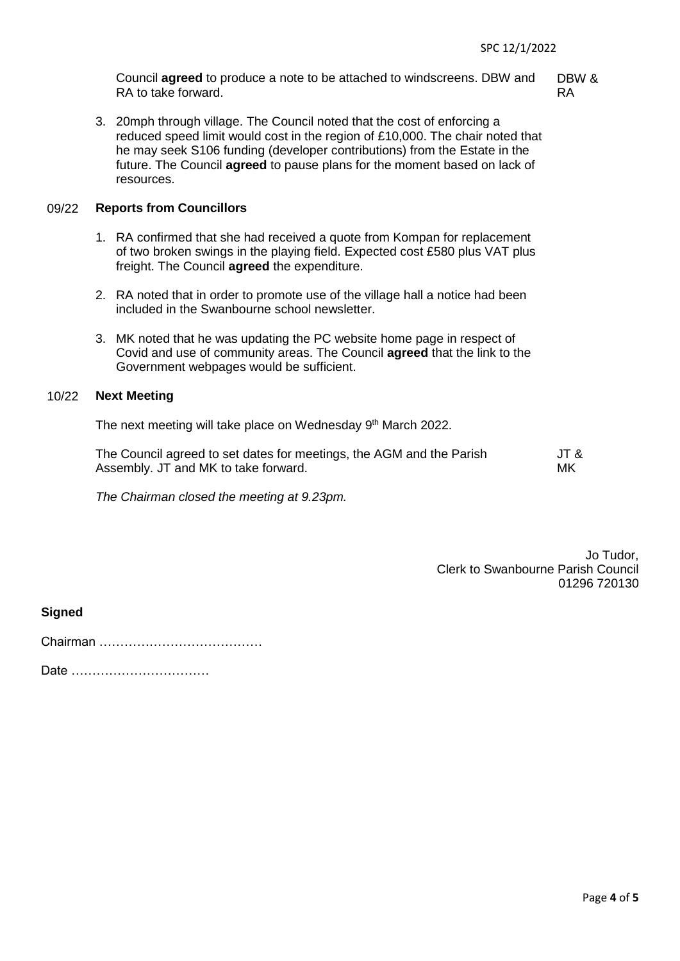Council **agreed** to produce a note to be attached to windscreens. DBW and RA to take forward.

DBW & RA

3. 20mph through village. The Council noted that the cost of enforcing a reduced speed limit would cost in the region of £10,000. The chair noted that he may seek S106 funding (developer contributions) from the Estate in the future. The Council **agreed** to pause plans for the moment based on lack of resources.

### 09/22 **Reports from Councillors**

- 1. RA confirmed that she had received a quote from Kompan for replacement of two broken swings in the playing field. Expected cost £580 plus VAT plus freight. The Council **agreed** the expenditure.
- 2. RA noted that in order to promote use of the village hall a notice had been included in the Swanbourne school newsletter.
- 3. MK noted that he was updating the PC website home page in respect of Covid and use of community areas. The Council **agreed** that the link to the Government webpages would be sufficient.

## 10/22 **Next Meeting**

The next meeting will take place on Wednesday 9<sup>th</sup> March 2022.

| The Council agreed to set dates for meetings, the AGM and the Parish | JT & |
|----------------------------------------------------------------------|------|
| Assembly. JT and MK to take forward.                                 | МK   |

*The Chairman closed the meeting at 9.23pm.*

Jo Tudor, Clerk to Swanbourne Parish Council 01296 720130

**Signed** 

Chairman …………………………………

Date ……………………………